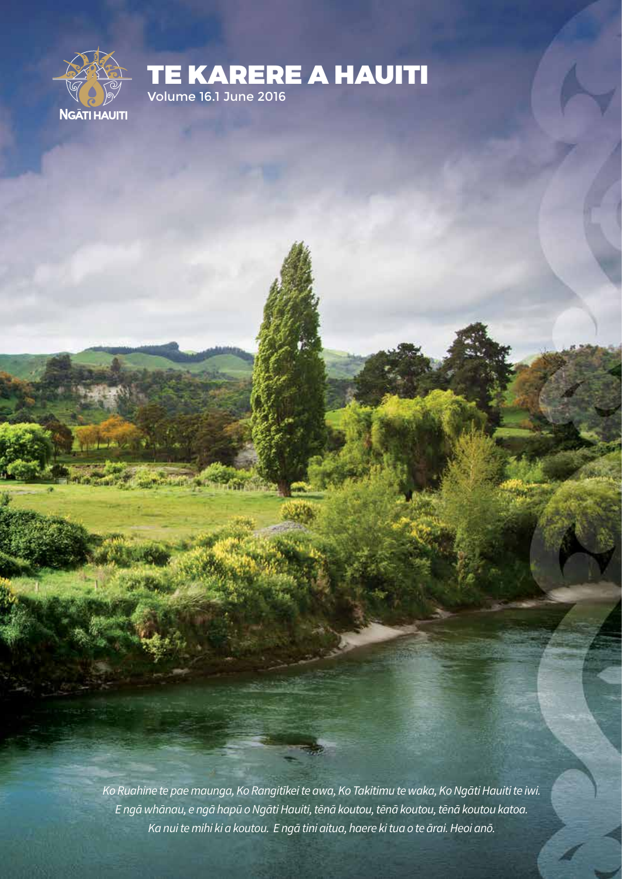

Mission N

TE KARERE A HAUITI Volume 16.1 June 2016

*Ko Ruahine te pae maunga, Ko Rangitīkei te awa, Ko Takitimu te waka, Ko Ngāti Hauiti te iwi. E ngā whānau, e ngā hapū o Ngāti Hauiti, tēnā koutou, tēnā koutou, tēnā koutou katoa. Ka nui te mihi ki a koutou. E ngā tini aitua, haere ki tua o te ārai. Heoi anō.*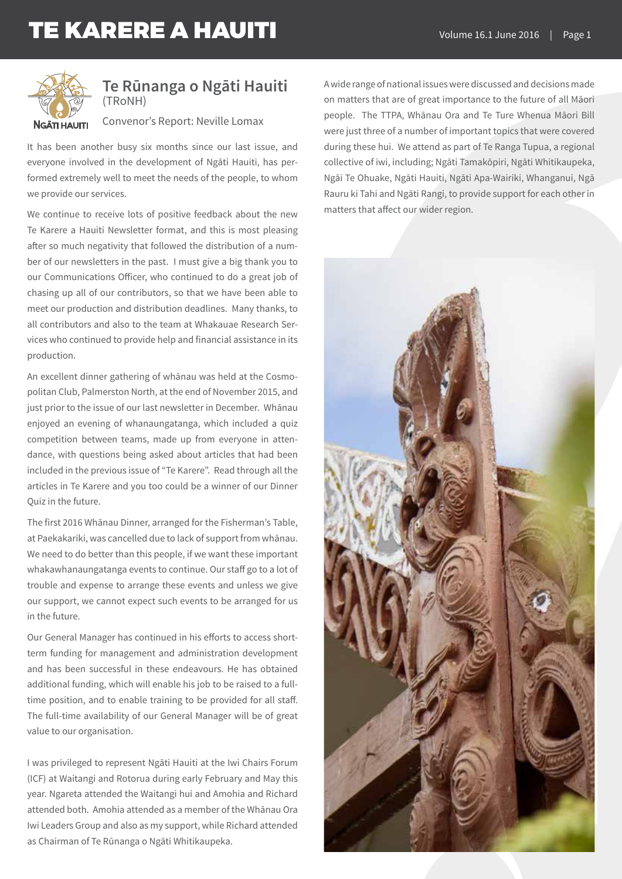

### **Te Rūnanga o Ngāti Hauiti** (TRoNH)

Convenor's Report: Neville Lomax

It has been another busy six months since our last issue, and everyone involved in the development of Ngāti Hauiti, has performed extremely well to meet the needs of the people, to whom we provide our services.

We continue to receive lots of positive feedback about the new Te Karere a Hauiti Newsletter format, and this is most pleasing after so much negativity that followed the distribution of a number of our newsletters in the past. I must give a big thank you to our Communications Officer, who continued to do a great job of chasing up all of our contributors, so that we have been able to meet our production and distribution deadlines. Many thanks, to all contributors and also to the team at Whakauae Research Services who continued to provide help and financial assistance in its production.

An excellent dinner gathering of whānau was held at the Cosmopolitan Club, Palmerston North, at the end of November 2015, and just prior to the issue of our last newsletter in December. Whānau enjoyed an evening of whanaungatanga, which included a quiz competition between teams, made up from everyone in attendance, with questions being asked about articles that had been included in the previous issue of "Te Karere". Read through all the articles in Te Karere and you too could be a winner of our Dinner Quiz in the future.

The first 2016 Whānau Dinner, arranged for the Fisherman's Table, at Paekakariki, was cancelled due to lack of support from whānau. We need to do better than this people, if we want these important whakawhanaungatanga events to continue. Our staff go to a lot of trouble and expense to arrange these events and unless we give our support, we cannot expect such events to be arranged for us in the future.

Our General Manager has continued in his efforts to access shortterm funding for management and administration development and has been successful in these endeavours. He has obtained additional funding, which will enable his job to be raised to a fulltime position, and to enable training to be provided for all staff. The full-time availability of our General Manager will be of great value to our organisation.

I was privileged to represent Ngāti Hauiti at the Iwi Chairs Forum (ICF) at Waitangi and Rotorua during early February and May this year. Ngareta attended the Waitangi hui and Amohia and Richard attended both. Amohia attended as a member of the Whānau Ora Iwi Leaders Group and also as my support, while Richard attended as Chairman of Te Rūnanga o Ngāti Whitikaupeka.

A wide range of national issues were discussed and decisions made on matters that are of great importance to the future of all Māori people. The TTPA, Whānau Ora and Te Ture Whenua Māori Bill were just three of a number of important topics that were covered during these hui. We attend as part of Te Ranga Tupua, a regional collective of iwi, including; Ngāti Tamakōpiri, Ngāti Whitikaupeka, Ngāi Te Ohuake, Ngāti Hauiti, Ngāti Apa-Wairiki, Whanganui, Ngā Rauru ki Tahi and Ngāti Rangi, to provide support for each other in matters that affect our wider region.

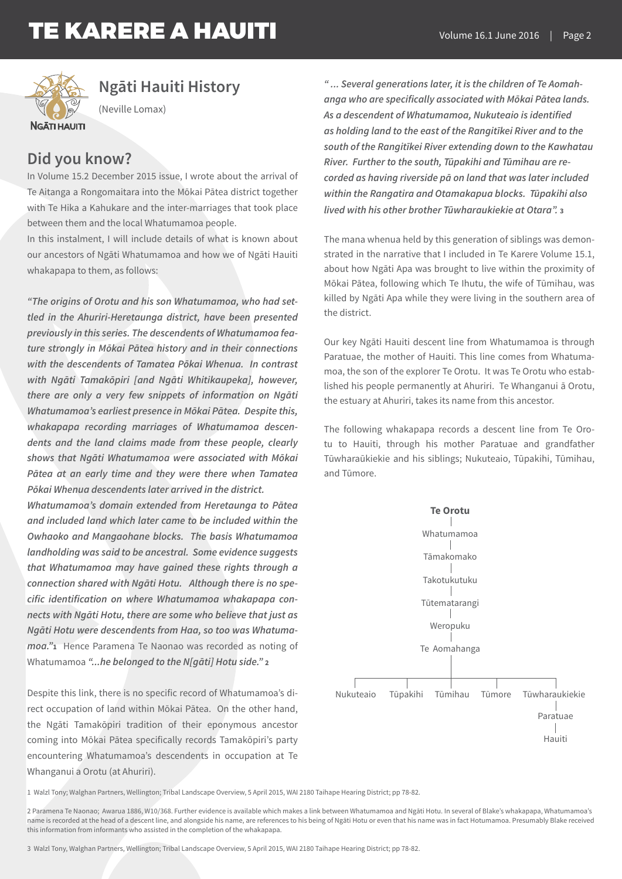

## **Ngāti Hauiti History**

(Neville Lomax)

## **Did you know?**

In Volume 15.2 December 2015 issue, I wrote about the arrival of Te Aitanga a Rongomaitara into the Mōkai Pātea district together with Te Hika a Kahukare and the inter-marriages that took place between them and the local Whatumamoa people.

In this instalment, I will include details of what is known about our ancestors of Ngāti Whatumamoa and how we of Ngāti Hauiti whakapapa to them, as follows:

*"The origins of Orotu and his son Whatumamoa, who had settled in the Ahuriri-Heretaunga district, have been presented previously in this series. The descendents of Whatumamoa feature strongly in Mōkai Pātea history and in their connections with the descendents of Tamatea Pōkai Whenua. In contrast with Ngāti Tamakōpiri [and Ngāti Whitikaupeka], however, there are only a very few snippets of information on Ngāti Whatumamoa's earliest presence in Mōkai Pātea. Despite this, whakapapa recording marriages of Whatumamoa descendents and the land claims made from these people, clearly shows that Ngāti Whatumamoa were associated with Mōkai Pātea at an early time and they were there when Tamatea Pōkai Whenua descendents later arrived in the district.*

*Whatumamoa's domain extended from Heretaunga to Pātea and included land which later came to be included within the Owhaoko and Mangaohane blocks. The basis Whatumamoa landholding was said to be ancestral. Some evidence suggests that Whatumamoa may have gained these rights through a connection shared with Ngāti Hotu. Although there is no specific identification on where Whatumamoa whakapapa connects with Ngāti Hotu, there are some who believe that just as Ngāti Hotu were descendents from Haa, so too was Whatumamoa."***<sup>1</sup>**Hence Paramena Te Naonao was recorded as noting of Whatumamoa *"...he belonged to the N[gāti] Hotu side."* **<sup>2</sup>**

Despite this link, there is no specific record of Whatumamoa's direct occupation of land within Mōkai Pātea. On the other hand, the Ngāti Tamakōpiri tradition of their eponymous ancestor coming into Mōkai Pātea specifically records Tamakōpiri's party encountering Whatumamoa's descendents in occupation at Te Whanganui a Orotu (at Ahuriri).

*" ... Several generations later, it is the children of Te Aomahanga who are specifically associated with Mōkai Pātea lands. As a descendent of Whatumamoa, Nukuteaio is identified as holding land to the east of the Rangitīkei River and to the south of the Rangitīkei River extending down to the Kawhatau River. Further to the south, Tūpakihi and Tūmihau are recorded as having riverside pā on land that was later included within the Rangatira and Otamakapua blocks. Tūpakihi also lived with his other brother Tūwharaukiekie at Otara".* **<sup>3</sup>**

The mana whenua held by this generation of siblings was demonstrated in the narrative that I included in Te Karere Volume 15.1, about how Ngāti Apa was brought to live within the proximity of Mōkai Pātea, following which Te Ihutu, the wife of Tūmihau, was killed by Ngāti Apa while they were living in the southern area of the district.

Our key Ngāti Hauiti descent line from Whatumamoa is through Paratuae, the mother of Hauiti. This line comes from Whatumamoa, the son of the explorer Te Orotu. It was Te Orotu who established his people permanently at Ahuriri. Te Whanganui ā Orotu, the estuary at Ahuriri, takes its name from this ancestor.

The following whakapapa records a descent line from Te Orotu to Hauiti, through his mother Paratuae and grandfather Tūwharaūkiekie and his siblings; Nukuteaio, Tūpakihi, Tūmihau, and Tūmore.



1 Walzl Tony; Walghan Partners, Wellington; Tribal Landscape Overview, 5 April 2015, WAI 2180 Taihape Hearing District; pp 78-82.

<sup>2</sup> Paramena Te Naonao; Awarua 1886, W10/368. Further evidence is available which makes a link between Whatumamoa and Ngāti Hotu. In several of Blake's whakapapa, Whatumamoa's name is recorded at the head of a descent line, and alongside his name, are references to his being of Ngāti Hotu or even that his name was in fact Hotumamoa. Presumably Blake received this information from informants who assisted in the completion of the whakapapa.

<sup>3</sup> Walzl Tony, Walghan Partners, Wellington; Tribal Landscape Overview, 5 April 2015, WAI 2180 Taihape Hearing District; pp 78-82.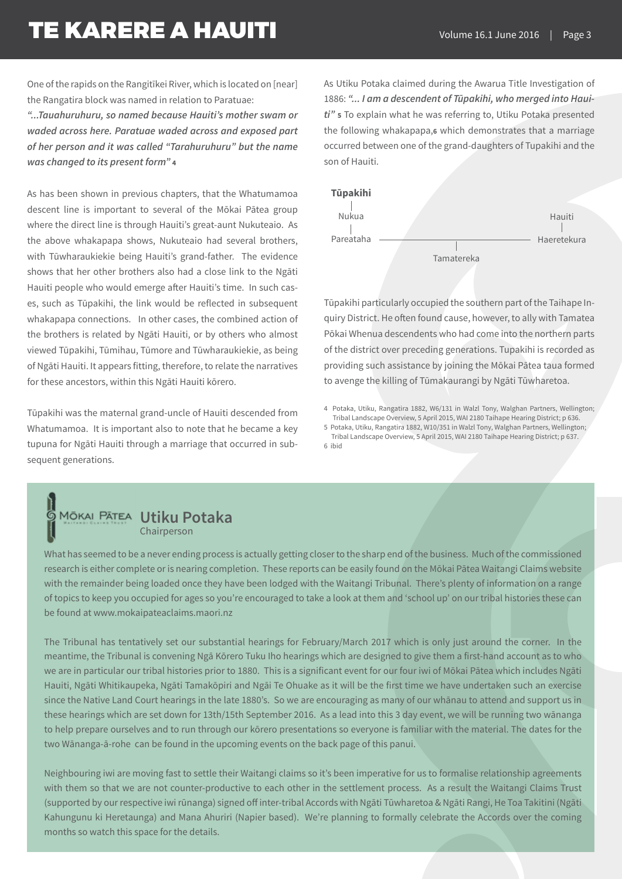One of the rapids on the Rangitīkei River, which is located on [near] the Rangatira block was named in relation to Paratuae:

*"...Tauahuruhuru, so named because Hauiti's mother swam or waded across here. Paratuae waded across and exposed part of her person and it was called "Tarahuruhuru" but the name was changed to its present form"* **<sup>4</sup>**

As has been shown in previous chapters, that the Whatumamoa descent line is important to several of the Mōkai Pātea group where the direct line is through Hauiti's great-aunt Nukuteaio. As the above whakapapa shows, Nukuteaio had several brothers, with Tūwharaukiekie being Hauiti's grand-father. The evidence shows that her other brothers also had a close link to the Ngāti Hauiti people who would emerge after Hauiti's time. In such cases, such as Tūpakihi, the link would be reflected in subsequent whakapapa connections. In other cases, the combined action of the brothers is related by Ngāti Hauiti, or by others who almost viewed Tūpakihi, Tūmihau, Tūmore and Tūwharaukiekie, as being of Ngāti Hauiti. It appears fitting, therefore, to relate the narratives for these ancestors, within this Ngāti Hauiti kōrero.

Tūpakihi was the maternal grand-uncle of Hauiti descended from Whatumamoa. It is important also to note that he became a key tupuna for Ngāti Hauiti through a marriage that occurred in subsequent generations.

### As Utiku Potaka claimed during the Awarua Title Investigation of 1886: *"... I am a descendent of Tūpakihi, who merged into Hauiti"* **<sup>5</sup>** To explain what he was referring to, Utiku Potaka presented the following whakapapa,**6** which demonstrates that a marriage occurred between one of the grand-daughters of Tupakihi and the son of Hauiti.



Tūpakihi particularly occupied the southern part of the Taihape Inquiry District. He often found cause, however, to ally with Tamatea Pōkai Whenua descendents who had come into the northern parts of the district over preceding generations. Tupakihi is recorded as providing such assistance by joining the Mōkai Pātea taua formed to avenge the killing of Tūmakaurangi by Ngāti Tūwharetoa.

4 Potaka, Utiku, Rangatira 1882, W6/131 in Walzl Tony, Walghan Partners, Wellington; Tribal Landscape Overview, 5 April 2015, WAI 2180 Taihape Hearing District; p 636.

5 Potaka, Utiku, Rangatira 1882, W10/351 in Walzl Tony, Walghan Partners, Wellington; Tribal Landscape Overview, 5 April 2015, WAI 2180 Taihape Hearing District; p 637. 6 ibid

### **MŌKAI PĀTEA Utiku Potaka** Chairperson

l

What has seemed to be a never ending process is actually getting closer to the sharp end of the business. Much of the commissioned research is either complete or is nearing completion. These reports can be easily found on the Mōkai Pātea Waitangi Claims website with the remainder being loaded once they have been lodged with the Waitangi Tribunal. There's plenty of information on a range of topics to keep you occupied for ages so you're encouraged to take a look at them and 'school up' on our tribal histories these can be found at www.mokaipateaclaims.maori.nz

The Tribunal has tentatively set our substantial hearings for February/March 2017 which is only just around the corner. In the meantime, the Tribunal is convening Ngā Kōrero Tuku Iho hearings which are designed to give them a first-hand account as to who we are in particular our tribal histories prior to 1880. This is a significant event for our four iwi of Mōkai Pātea which includes Ngāti Hauiti, Ngāti Whitikaupeka, Ngāti Tamakōpiri and Ngāi Te Ohuake as it will be the first time we have undertaken such an exercise since the Native Land Court hearings in the late 1880's. So we are encouraging as many of our whānau to attend and support us in these hearings which are set down for 13th/15th September 2016. As a lead into this 3 day event, we will be running two wānanga to help prepare ourselves and to run through our kōrero presentations so everyone is familiar with the material. The dates for the two Wānanga-ā-rohe can be found in the upcoming events on the back page of this panui.

Neighbouring iwi are moving fast to settle their Waitangi claims so it's been imperative for us to formalise relationship agreements with them so that we are not counter-productive to each other in the settlement process. As a result the Waitangi Claims Trust (supported by our respective iwi rūnanga) signed off inter-tribal Accords with Ngāti Tūwharetoa & Ngāti Rangi, He Toa Takitini (Ngāti Kahungunu ki Heretaunga) and Mana Ahuriri (Napier based). We're planning to formally celebrate the Accords over the coming months so watch this space for the details.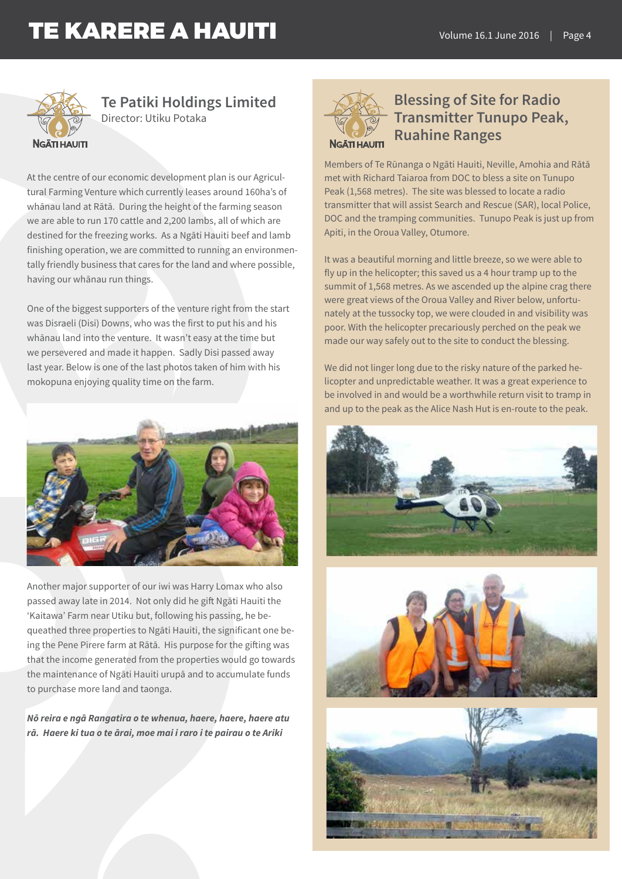

### **Te Patiki Holdings Limited** Director: Utiku Potaka

### **NGĀTI HAUITI**

having our whānau run things.

At the centre of our economic development plan is our Agricultural Farming Venture which currently leases around 160ha's of whānau land at Rātā. During the height of the farming season we are able to run 170 cattle and 2,200 lambs, all of which are destined for the freezing works. As a Ngāti Hauiti beef and lamb finishing operation, we are committed to running an environmen-

One of the biggest supporters of the venture right from the start was Disraeli (Disi) Downs, who was the first to put his and his whānau land into the venture. It wasn't easy at the time but we persevered and made it happen. Sadly Disi passed away last year. Below is one of the last photos taken of him with his mokopuna enjoying quality time on the farm.

tally friendly business that cares for the land and where possible,



Another major supporter of our iwi was Harry Lomax who also passed away late in 2014. Not only did he gift Ngāti Hauiti the 'Kaitawa' Farm near Utiku but, following his passing, he bequeathed three properties to Ngāti Hauiti, the significant one being the Pene Pirere farm at Rātā. His purpose for the gifting was that the income generated from the properties would go towards the maintenance of Ngāti Hauiti urupā and to accumulate funds to purchase more land and taonga.

*Nō reira e ngā Rangatira o te whenua, haere, haere, haere atu rā. Haere ki tua o te ārai, moe mai i raro i te pairau o te Ariki*



## **Blessing of Site for Radio Transmitter Tunupo Peak, Ruahine Ranges**

Members of Te Rūnanga o Ngāti Hauiti, Neville, Amohia and Rātā met with Richard Taiaroa from DOC to bless a site on Tunupo Peak (1,568 metres). The site was blessed to locate a radio transmitter that will assist Search and Rescue (SAR), local Police, DOC and the tramping communities. Tunupo Peak is just up from Apiti, in the Oroua Valley, Otumore.

It was a beautiful morning and little breeze, so we were able to fly up in the helicopter; this saved us a 4 hour tramp up to the summit of 1,568 metres. As we ascended up the alpine crag there were great views of the Oroua Valley and River below, unfortunately at the tussocky top, we were clouded in and visibility was poor. With the helicopter precariously perched on the peak we made our way safely out to the site to conduct the blessing.

We did not linger long due to the risky nature of the parked helicopter and unpredictable weather. It was a great experience to be involved in and would be a worthwhile return visit to tramp in and up to the peak as the Alice Nash Hut is en-route to the peak.





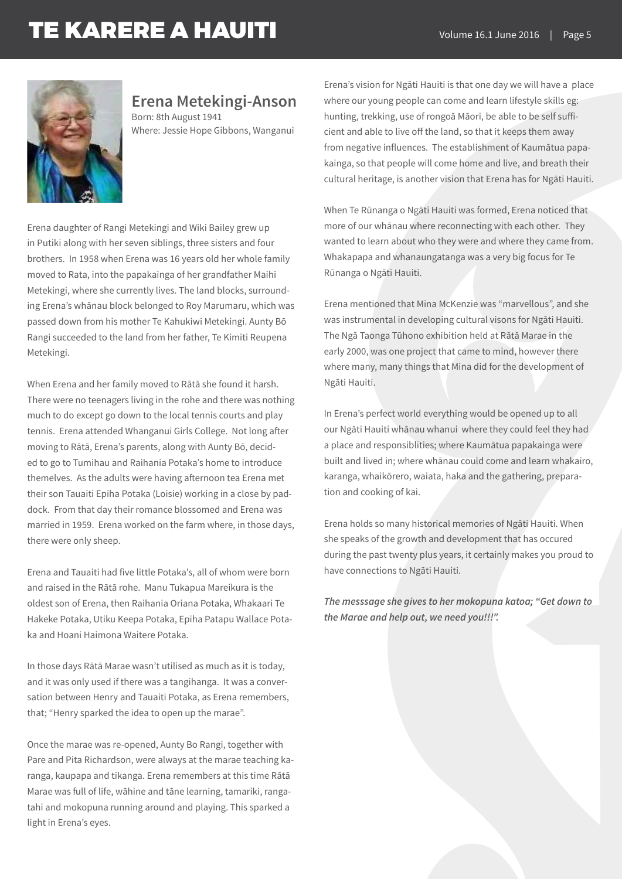

### **Erena Metekingi-Anson**

Born: 8th August 1941 Where: Jessie Hope Gibbons, Wanganui

Erena daughter of Rangi Metekingi and Wiki Bailey grew up in Putiki along with her seven siblings, three sisters and four brothers. In 1958 when Erena was 16 years old her whole family moved to Rata, into the papakainga of her grandfather Maihi Metekingi, where she currently lives. The land blocks, surrounding Erena's whānau block belonged to Roy Marumaru, which was passed down from his mother Te Kahukiwi Metekingi. Aunty Bō Rangi succeeded to the land from her father, Te Kimiti Reupena Metekingi.

When Erena and her family moved to Rātā she found it harsh. There were no teenagers living in the rohe and there was nothing much to do except go down to the local tennis courts and play tennis. Erena attended Whanganui Girls College. Not long after moving to Rātā, Erena's parents, along with Aunty Bō, decided to go to Tumihau and Raihania Potaka's home to introduce themelves. As the adults were having afternoon tea Erena met their son Tauaiti Epiha Potaka (Loisie) working in a close by paddock. From that day their romance blossomed and Erena was married in 1959. Erena worked on the farm where, in those days, there were only sheep.

Erena and Tauaiti had five little Potaka's, all of whom were born and raised in the Rātā rohe. Manu Tukapua Mareikura is the oldest son of Erena, then Raihania Oriana Potaka, Whakaari Te Hakeke Potaka, Utiku Keepa Potaka, Epiha Patapu Wallace Potaka and Hoani Haimona Waitere Potaka.

In those days Rātā Marae wasn't utilised as much as it is today, and it was only used if there was a tangihanga. It was a conversation between Henry and Tauaiti Potaka, as Erena remembers, that; "Henry sparked the idea to open up the marae".

Once the marae was re-opened, Aunty Bo Rangi, together with Pare and Pita Richardson, were always at the marae teaching karanga, kaupapa and tikanga. Erena remembers at this time Rātā Marae was full of life, wāhine and tāne learning, tamariki, rangatahi and mokopuna running around and playing. This sparked a light in Erena's eyes.

Erena's vision for Ngāti Hauiti is that one day we will have a place where our young people can come and learn lifestyle skills eg: hunting, trekking, use of rongoā Māori, be able to be self sufficient and able to live off the land, so that it keeps them away from negative influences. The establishment of Kaumātua papakainga, so that people will come home and live, and breath their cultural heritage, is another vision that Erena has for Ngāti Hauiti.

When Te Rūnanga o Ngāti Hauiti was formed, Erena noticed that more of our whānau where reconnecting with each other. They wanted to learn about who they were and where they came from. Whakapapa and whanaungatanga was a very big focus for Te Rūnanga o Ngāti Hauiti.

Erena mentioned that Mina McKenzie was "marvellous", and she was instrumental in developing cultural visons for Ngāti Hauiti. The Ngā Taonga Tūhono exhibition held at Rātā Marae in the early 2000, was one project that came to mind, however there where many, many things that Mina did for the development of Ngāti Hauiti.

In Erena's perfect world everything would be opened up to all our Ngāti Hauiti whānau whanui where they could feel they had a place and responsiblities; where Kaumātua papakainga were built and lived in; where whānau could come and learn whakairo, karanga, whaikōrero, waiata, haka and the gathering, preparation and cooking of kai.

Erena holds so many historical memories of Ngāti Hauiti. When she speaks of the growth and development that has occured during the past twenty plus years, it certainly makes you proud to have connections to Ngāti Hauiti.

*The messsage she gives to her mokopuna katoa; "Get down to the Marae and help out, we need you!!!".*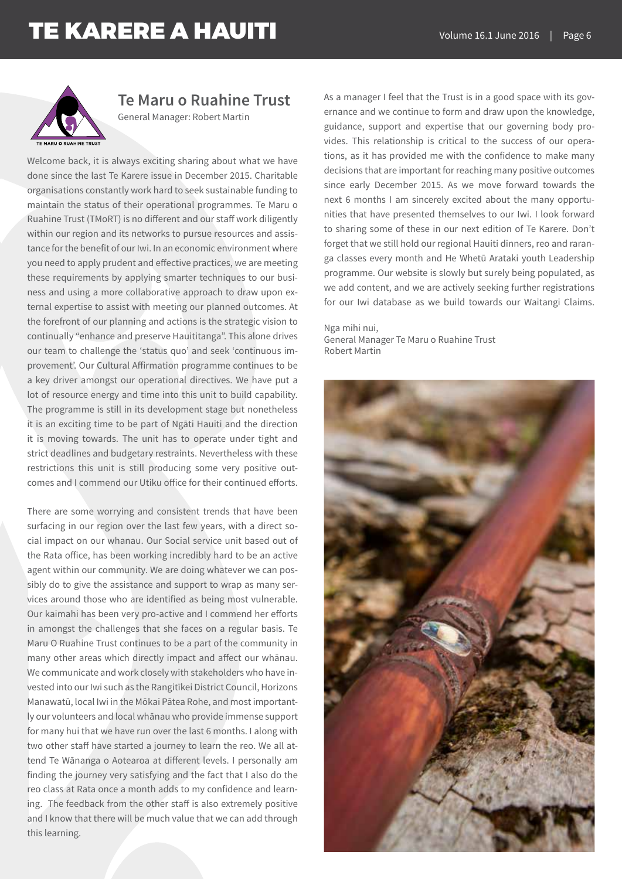

## **Te Maru o Ruahine Trust**

General Manager: Robert Martin

Welcome back, it is always exciting sharing about what we have done since the last Te Karere issue in December 2015. Charitable organisations constantly work hard to seek sustainable funding to maintain the status of their operational programmes. Te Maru o Ruahine Trust (TMoRT) is no different and our staff work diligently within our region and its networks to pursue resources and assistance for the benefit of our Iwi. In an economic environment where you need to apply prudent and effective practices, we are meeting these requirements by applying smarter techniques to our business and using a more collaborative approach to draw upon external expertise to assist with meeting our planned outcomes. At the forefront of our planning and actions is the strategic vision to continually "enhance and preserve Hauititanga". This alone drives our team to challenge the 'status quo' and seek 'continuous improvement'. Our Cultural Affirmation programme continues to be a key driver amongst our operational directives. We have put a lot of resource energy and time into this unit to build capability. The programme is still in its development stage but nonetheless it is an exciting time to be part of Ngāti Hauiti and the direction it is moving towards. The unit has to operate under tight and strict deadlines and budgetary restraints. Nevertheless with these restrictions this unit is still producing some very positive outcomes and I commend our Utiku office for their continued efforts.

There are some worrying and consistent trends that have been surfacing in our region over the last few years, with a direct social impact on our whanau. Our Social service unit based out of the Rata office, has been working incredibly hard to be an active agent within our community. We are doing whatever we can possibly do to give the assistance and support to wrap as many services around those who are identified as being most vulnerable. Our kaimahi has been very pro-active and I commend her efforts in amongst the challenges that she faces on a regular basis. Te Maru O Ruahine Trust continues to be a part of the community in many other areas which directly impact and affect our whānau. We communicate and work closely with stakeholders who have invested into our Iwi such as the Rangitīkei District Council, Horizons Manawatū, local Iwi in the Mōkai Pātea Rohe, and most importantly our volunteers and local whānau who provide immense support for many hui that we have run over the last 6 months. I along with two other staff have started a journey to learn the reo. We all attend Te Wānanga o Aotearoa at different levels. I personally am finding the journey very satisfying and the fact that I also do the reo class at Rata once a month adds to my confidence and learning. The feedback from the other staff is also extremely positive and I know that there will be much value that we can add through this learning.

As a manager I feel that the Trust is in a good space with its governance and we continue to form and draw upon the knowledge, guidance, support and expertise that our governing body provides. This relationship is critical to the success of our operations, as it has provided me with the confidence to make many decisions that are important for reaching many positive outcomes since early December 2015. As we move forward towards the next 6 months I am sincerely excited about the many opportunities that have presented themselves to our Iwi. I look forward to sharing some of these in our next edition of Te Karere. Don't forget that we still hold our regional Hauiti dinners, reo and raranga classes every month and He Whetū Arataki youth Leadership programme. Our website is slowly but surely being populated, as we add content, and we are actively seeking further registrations for our Iwi database as we build towards our Waitangi Claims.

Nga mihi nui, General Manager Te Maru o Ruahine Trust Robert Martin

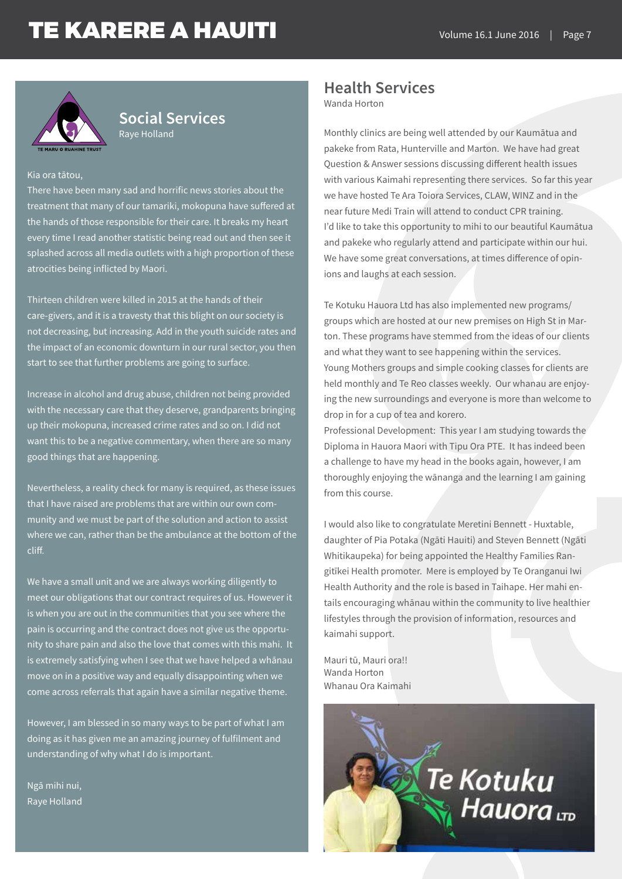

### **Social Services** Raye Holland

#### Kia ora tātou,

There have been many sad and horrific news stories about the treatment that many of our tamariki, mokopuna have suffered at the hands of those responsible for their care. It breaks my heart every time I read another statistic being read out and then see it splashed across all media outlets with a high proportion of these atrocities being inflicted by Maori.

Thirteen children were killed in 2015 at the hands of their care-givers, and it is a travesty that this blight on our society is not decreasing, but increasing. Add in the youth suicide rates and the impact of an economic downturn in our rural sector, you then start to see that further problems are going to surface.

Increase in alcohol and drug abuse, children not being provided with the necessary care that they deserve, grandparents bringing up their mokopuna, increased crime rates and so on. I did not want this to be a negative commentary, when there are so many good things that are happening.

Nevertheless, a reality check for many is required, as these issues that I have raised are problems that are within our own community and we must be part of the solution and action to assist where we can, rather than be the ambulance at the bottom of the cliff.

We have a small unit and we are always working diligently to meet our obligations that our contract requires of us. However it is when you are out in the communities that you see where the pain is occurring and the contract does not give us the opportunity to share pain and also the love that comes with this mahi. It is extremely satisfying when I see that we have helped a whānau move on in a positive way and equally disappointing when we come across referrals that again have a similar negative theme.

However, I am blessed in so many ways to be part of what I am doing as it has given me an amazing journey of fulfilment and understanding of why what I do is important.

Ngā mihi nui, Raye Holland

### **Health Services**

Wanda Horton

Monthly clinics are being well attended by our Kaumātua and pakeke from Rata, Hunterville and Marton. We have had great Question & Answer sessions discussing different health issues with various Kaimahi representing there services. So far this year we have hosted Te Ara Toiora Services, CLAW, WINZ and in the near future Medi Train will attend to conduct CPR training. I'd like to take this opportunity to mihi to our beautiful Kaumātua and pakeke who regularly attend and participate within our hui. We have some great conversations, at times difference of opinions and laughs at each session.

Te Kotuku Hauora Ltd has also implemented new programs/ groups which are hosted at our new premises on High St in Marton. These programs have stemmed from the ideas of our clients and what they want to see happening within the services. Young Mothers groups and simple cooking classes for clients are held monthly and Te Reo classes weekly. Our whanau are enjoying the new surroundings and everyone is more than welcome to drop in for a cup of tea and korero.

Professional Development: This year I am studying towards the Diploma in Hauora Maori with Tipu Ora PTE. It has indeed been a challenge to have my head in the books again, however, I am thoroughly enjoying the wānanga and the learning I am gaining from this course.

I would also like to congratulate Meretini Bennett - Huxtable, daughter of Pia Potaka (Ngāti Hauiti) and Steven Bennett (Ngāti Whitikaupeka) for being appointed the Healthy Families Rangitīkei Health promoter. Mere is employed by Te Oranganui Iwi Health Authority and the role is based in Taihape. Her mahi entails encouraging whānau within the community to live healthier lifestyles through the provision of information, resources and kaimahi support.

Mauri tū, Mauri ora!! Wanda Horton Whanau Ora Kaimahi

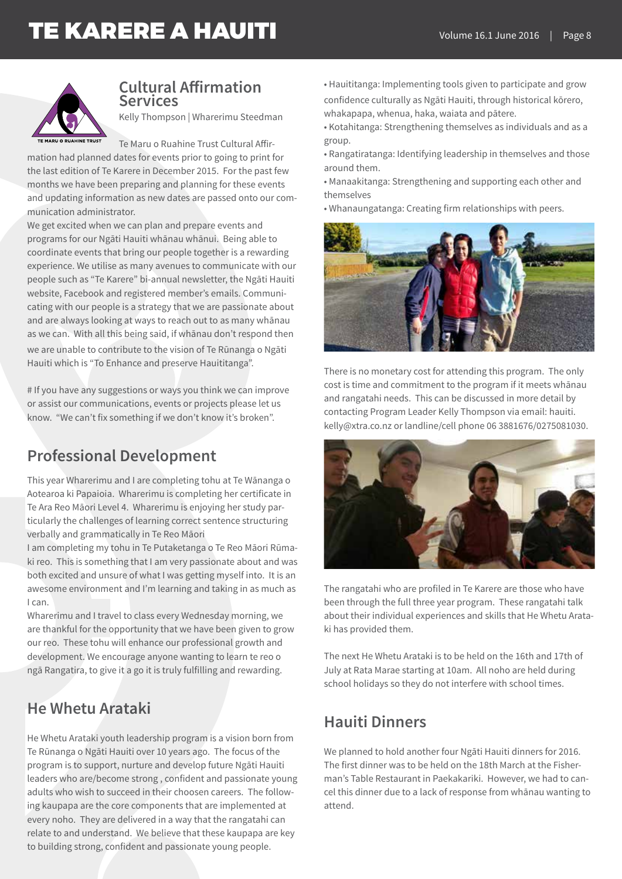

### **Cultural Affirmation Services**

Kelly Thompson | Wharerimu Steedman

Te Maru o Ruahine Trust Cultural Affir-

mation had planned dates for events prior to going to print for the last edition of Te Karere in December 2015. For the past few months we have been preparing and planning for these events and updating information as new dates are passed onto our communication administrator.

We get excited when we can plan and prepare events and programs for our Ngāti Hauiti whānau whānui. Being able to coordinate events that bring our people together is a rewarding experience. We utilise as many avenues to communicate with our people such as "Te Karere" bi-annual newsletter, the Ngāti Hauiti website, Facebook and registered member's emails. Communicating with our people is a strategy that we are passionate about and are always looking at ways to reach out to as many whānau as we can. With all this being said, if whānau don't respond then we are unable to contribute to the vision of Te Rūnanga o Ngāti Hauiti which is "To Enhance and preserve Hauititanga".

# If you have any suggestions or ways you think we can improve or assist our communications, events or projects please let us know. "We can't fix something if we don't know it's broken".

## **Professional Development**

This year Wharerimu and I are completing tohu at Te Wānanga o Aotearoa ki Papaioia. Wharerimu is completing her certificate in Te Ara Reo Māori Level 4. Wharerimu is enjoying her study particularly the challenges of learning correct sentence structuring verbally and grammatically in Te Reo Māori

I am completing my tohu in Te Putaketanga o Te Reo Māori Rūmaki reo. This is something that I am very passionate about and was both excited and unsure of what I was getting myself into. It is an awesome environment and I'm learning and taking in as much as I can.

Wharerimu and I travel to class every Wednesday morning, we are thankful for the opportunity that we have been given to grow our reo. These tohu will enhance our professional growth and development. We encourage anyone wanting to learn te reo o ngā Rangatira, to give it a go it is truly fulfilling and rewarding.

## **He Whetu Arataki**

He Whetu Arataki youth leadership program is a vision born from Te Rūnanga o Ngāti Hauiti over 10 years ago. The focus of the program is to support, nurture and develop future Ngāti Hauiti leaders who are/become strong , confident and passionate young adults who wish to succeed in their choosen careers. The following kaupapa are the core components that are implemented at every noho. They are delivered in a way that the rangatahi can relate to and understand. We believe that these kaupapa are key to building strong, confident and passionate young people.

• Hauititanga: Implementing tools given to participate and grow confidence culturally as Ngāti Hauiti, through historical kōrero, whakapapa, whenua, haka, waiata and pātere.

• Kotahitanga: Strengthening themselves as individuals and as a group.

- Rangatiratanga: Identifying leadership in themselves and those around them.
- Manaakitanga: Strengthening and supporting each other and themselves
- Whanaungatanga: Creating firm relationships with peers.



There is no monetary cost for attending this program. The only cost is time and commitment to the program if it meets whānau and rangatahi needs. This can be discussed in more detail by contacting Program Leader Kelly Thompson via email: hauiti. kelly@xtra.co.nz or landline/cell phone 06 3881676/0275081030.



The rangatahi who are profiled in Te Karere are those who have been through the full three year program. These rangatahi talk about their individual experiences and skills that He Whetu Arataki has provided them.

The next He Whetu Arataki is to be held on the 16th and 17th of July at Rata Marae starting at 10am. All noho are held during school holidays so they do not interfere with school times.

## **Hauiti Dinners**

We planned to hold another four Ngāti Hauiti dinners for 2016. The first dinner was to be held on the 18th March at the Fisherman's Table Restaurant in Paekakariki. However, we had to cancel this dinner due to a lack of response from whānau wanting to attend.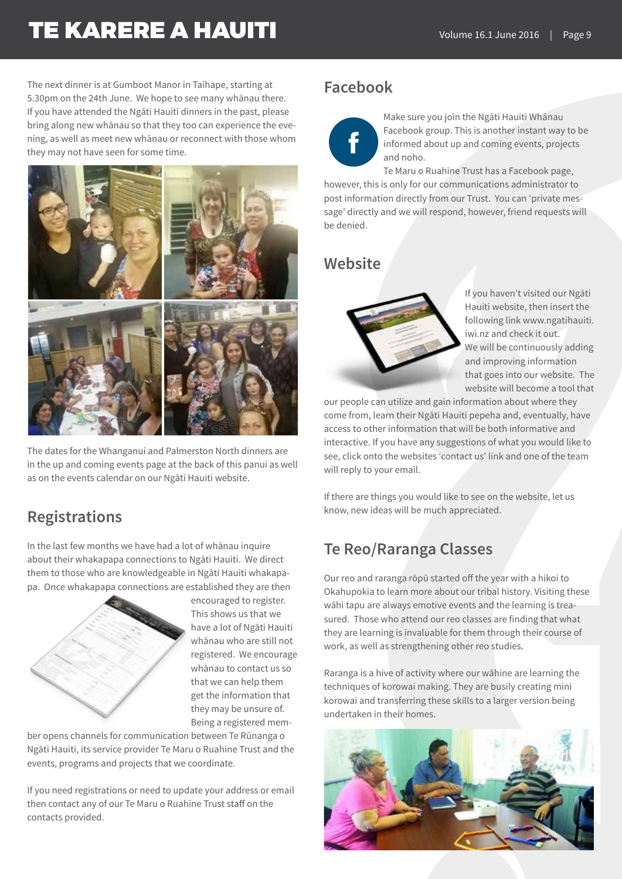The next dinner is at Gumboot Manor in Taihape, starting at 5.30pm on the 24th June. We hope to see many whānau there. If you have attended the Ngāti Hauiti dinners in the past, please bring along new whānau so that they too can experience the evening, as well as meet new whānau or reconnect with those whom they may not have seen for some time.



The dates for the Whanganui and Palmerston North dinners are in the up and coming events page at the back of this panui as well as on the events calendar on our Ngāti Hauiti website.

## **Registrations**

In the last few months we have had a lot of whānau inquire about their whakapapa connections to Ngāti Hauiti. We direct them to those who are knowledgeable in Ngāti Hauiti whakapapa. Once whakapapa connections are established they are then



encouraged to register. This shows us that we have a lot of Ngāti Hauiti whānau who are still not registered. We encourage whānau to contact us so that we can help them get the information that they may be unsure of. Being a registered mem-

ber opens channels for communication between Te Rūnanga o Ngāti Hauiti, its service provider Te Maru o Ruahine Trust and the events, programs and projects that we coordinate.

If you need registrations or need to update your address or email then contact any of our Te Maru o Ruahine Trust staff on the contacts provided.

## **Facebook**



Make sure you join the Ngāti Hauiti Whānau Facebook group. This is another instant way to be informed about up and coming events, projects and noho.

Te Maru o Ruahine Trust has a Facebook page, however, this is only for our communications administrator to post information directly from our Trust. You can 'private message' directly and we will respond, however, friend requests will be denied.

## **Website**



If you haven't visited our Ngāti Hauiti website, then insert the following link www.ngatihauiti. iwi.nz and check it out. We will be continuously adding and improving information that goes into our website. The website will become a tool that

our people can utilize and gain information about where they come from, learn their Ngāti Hauiti pepeha and, eventually, have access to other information that will be both informative and interactive. If you have any suggestions of what you would like to see, click onto the websites 'contact us' link and one of the team will reply to your email.

If there are things you would like to see on the website, let us know, new ideas will be much appreciated.

## **Te Reo/Raranga Classes**

Our reo and raranga rōpū started off the year with a hikoi to Okahupokia to learn more about our tribal history. Visiting these wāhi tapu are always emotive events and the learning is treasured. Those who attend our reo classes are finding that what they are learning is invaluable for them through their course of work, as well as strengthening other reo studies.

Raranga is a hive of activity where our wāhine are learning the techniques of korowai making. They are busily creating mini korowai and transferring these skills to a larger version being undertaken in their homes.

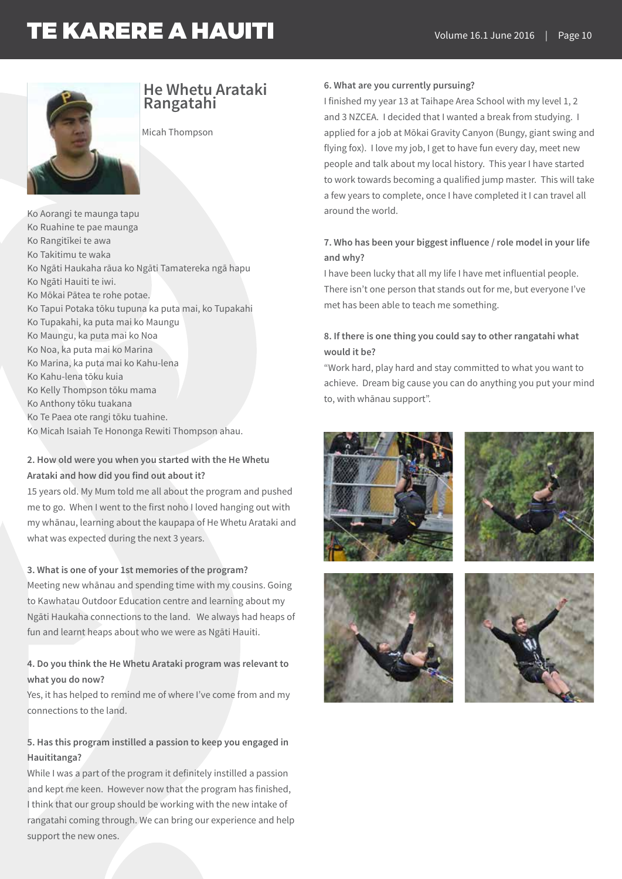

# **He Whetu Arataki Rangatahi**

Micah Thompson

Ko Aorangi te maunga tapu Ko Ruahine te pae maunga Ko Rangitīkei te awa Ko Takitimu te waka Ko Ngāti Haukaha rāua ko Ngāti Tamatereka ngā hapu Ko Ngāti Hauiti te iwi. Ko Mōkai Pātea te rohe potae. Ko Tapui Potaka tōku tupuna ka puta mai, ko Tupakahi Ko Tupakahi, ka puta mai ko Maungu Ko Maungu, ka puta mai ko Noa Ko Noa, ka puta mai ko Marina Ko Marina, ka puta mai ko Kahu-lena Ko Kahu-lena tōku kuia Ko Kelly Thompson tōku mama Ko Anthony tōku tuakana Ko Te Paea ote rangi tōku tuahine. Ko Micah Isaiah Te Hononga Rewiti Thompson ahau.

### **2. How old were you when you started with the He Whetu Arataki and how did you find out about it?**

15 years old. My Mum told me all about the program and pushed me to go. When I went to the first noho I loved hanging out with my whānau, learning about the kaupapa of He Whetu Arataki and what was expected during the next 3 years.

#### **3. What is one of your 1st memories of the program?**

Meeting new whānau and spending time with my cousins. Going to Kawhatau Outdoor Education centre and learning about my Ngāti Haukaha connections to the land. We always had heaps of fun and learnt heaps about who we were as Ngāti Hauiti.

### **4. Do you think the He Whetu Arataki program was relevant to what you do now?**

Yes, it has helped to remind me of where I've come from and my connections to the land.

### **5. Has this program instilled a passion to keep you engaged in Hauititanga?**

While I was a part of the program it definitely instilled a passion and kept me keen. However now that the program has finished, I think that our group should be working with the new intake of rangatahi coming through. We can bring our experience and help support the new ones.

#### **6. What are you currently pursuing?**

I finished my year 13 at Taihape Area School with my level 1, 2 and 3 NZCEA. I decided that I wanted a break from studying. I applied for a job at Mōkai Gravity Canyon (Bungy, giant swing and flying fox). I love my job, I get to have fun every day, meet new people and talk about my local history. This year I have started to work towards becoming a qualified jump master. This will take a few years to complete, once I have completed it I can travel all around the world.

#### **7. Who has been your biggest influence / role model in your life and why?**

I have been lucky that all my life I have met influential people. There isn't one person that stands out for me, but everyone I've met has been able to teach me something.

### **8. If there is one thing you could say to other rangatahi what would it be?**

"Work hard, play hard and stay committed to what you want to achieve. Dream big cause you can do anything you put your mind to, with whānau support".







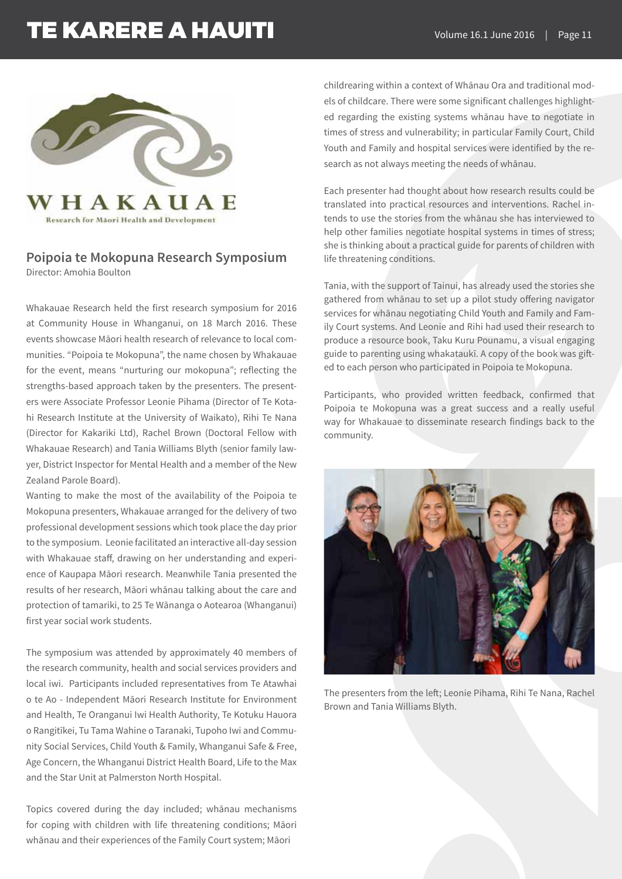

### **Poipoia te Mokopuna Research Symposium** Director: Amohia Boulton

Whakauae Research held the first research symposium for 2016 at Community House in Whanganui, on 18 March 2016. These events showcase Māori health research of relevance to local communities. "Poipoia te Mokopuna", the name chosen by Whakauae for the event, means "nurturing our mokopuna"; reflecting the strengths-based approach taken by the presenters. The presenters were Associate Professor Leonie Pihama (Director of Te Kotahi Research Institute at the University of Waikato), Rihi Te Nana (Director for Kakariki Ltd), Rachel Brown (Doctoral Fellow with Whakauae Research) and Tania Williams Blyth (senior family lawyer, District Inspector for Mental Health and a member of the New Zealand Parole Board).

Wanting to make the most of the availability of the Poipoia te Mokopuna presenters, Whakauae arranged for the delivery of two professional development sessions which took place the day prior to the symposium. Leonie facilitated an interactive all-day session with Whakauae staff, drawing on her understanding and experience of Kaupapa Māori research. Meanwhile Tania presented the results of her research, Māori whānau talking about the care and protection of tamariki, to 25 Te Wānanga o Aotearoa (Whanganui) first year social work students.

The symposium was attended by approximately 40 members of the research community, health and social services providers and local iwi. Participants included representatives from Te Atawhai o te Ao - Independent Māori Research Institute for Environment and Health, Te Oranganui Iwi Health Authority, Te Kotuku Hauora o Rangitīkei, Tu Tama Wahine o Taranaki, Tupoho Iwi and Community Social Services, Child Youth & Family, Whanganui Safe & Free, Age Concern, the Whanganui District Health Board, Life to the Max and the Star Unit at Palmerston North Hospital.

Topics covered during the day included; whānau mechanisms for coping with children with life threatening conditions; Māori whānau and their experiences of the Family Court system; Māori

childrearing within a context of Whānau Ora and traditional models of childcare. There were some significant challenges highlighted regarding the existing systems whānau have to negotiate in times of stress and vulnerability; in particular Family Court, Child Youth and Family and hospital services were identified by the research as not always meeting the needs of whānau.

Each presenter had thought about how research results could be translated into practical resources and interventions. Rachel intends to use the stories from the whānau she has interviewed to help other families negotiate hospital systems in times of stress; she is thinking about a practical guide for parents of children with life threatening conditions.

Tania, with the support of Tainui, has already used the stories she gathered from whānau to set up a pilot study offering navigator services for whānau negotiating Child Youth and Family and Family Court systems. And Leonie and Rihi had used their research to produce a resource book, Taku Kuru Pounamu, a visual engaging guide to parenting using whakataukī. A copy of the book was gifted to each person who participated in Poipoia te Mokopuna.

Participants, who provided written feedback, confirmed that Poipoia te Mokopuna was a great success and a really useful way for Whakauae to disseminate research findings back to the community.



The presenters from the left; Leonie Pihama, Rihi Te Nana, Rachel Brown and Tania Williams Blyth.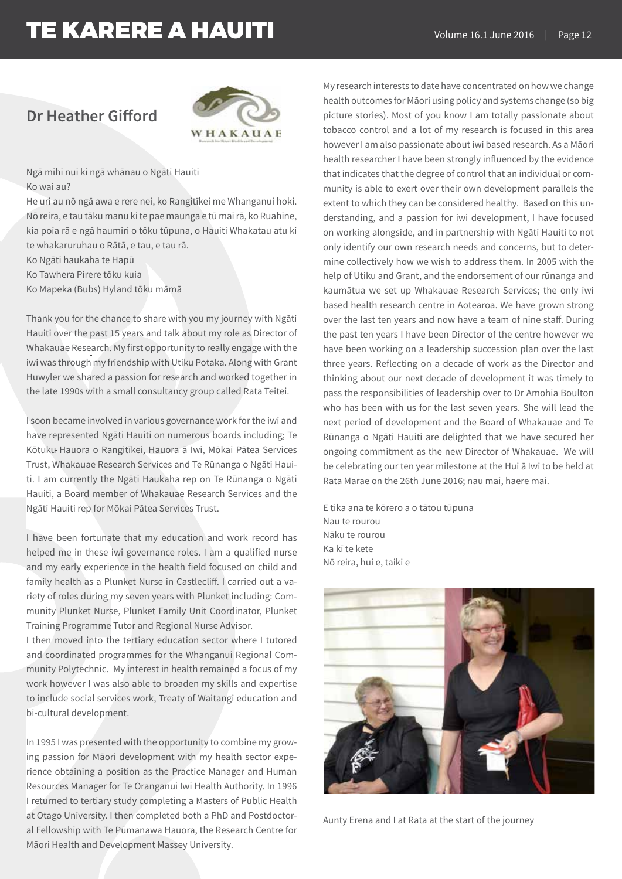## **Dr Heather Gifford**



Ngā mihi nui ki ngā whānau o Ngāti Hauiti Ko wai au?

He uri au nō ngā awa e rere nei, ko Rangitīkei me Whanganui hoki. Nō reira, e tau tāku manu ki te pae maunga e tū mai rā, ko Ruahine, kia poia rā e ngā haumiri o tōku tūpuna, o Hauiti Whakatau atu ki te whakaruruhau o Rātā, e tau, e tau rā.

Ko Ngāti haukaha te Hapū

Ko Tawhera Pirere tōku kuia

Ko Mapeka (Bubs) Hyland tōku māmā

Thank you for the chance to share with you my journey with Ngāti Hauiti over the past 15 years and talk about my role as Director of Whakauae Research. My first opportunity to really engage with the iwi was through my friendship with Utiku Potaka. Along with Grant Huwyler we shared a passion for research and worked together in the late 1990s with a small consultancy group called Rata Teitei.

I soon became involved in various governance work for the iwi and have represented Ngāti Hauiti on numerous boards including; Te Kōtuku Hauora o Rangitīkei, Hauora ā Iwi, Mōkai Pātea Services Trust, Whakauae Research Services and Te Rūnanga o Ngāti Hauiti. I am currently the Ngāti Haukaha rep on Te Rūnanga o Ngāti Hauiti, a Board member of Whakauae Research Services and the Ngāti Hauiti rep for Mōkai Pātea Services Trust.

I have been fortunate that my education and work record has helped me in these iwi governance roles. I am a qualified nurse and my early experience in the health field focused on child and family health as a Plunket Nurse in Castlecliff. I carried out a variety of roles during my seven years with Plunket including: Community Plunket Nurse, Plunket Family Unit Coordinator, Plunket Training Programme Tutor and Regional Nurse Advisor.

I then moved into the tertiary education sector where I tutored and coordinated programmes for the Whanganui Regional Community Polytechnic. My interest in health remained a focus of my work however I was also able to broaden my skills and expertise to include social services work, Treaty of Waitangi education and bi-cultural development.

In 1995 I was presented with the opportunity to combine my growing passion for Māori development with my health sector experience obtaining a position as the Practice Manager and Human Resources Manager for Te Oranganui Iwi Health Authority. In 1996 I returned to tertiary study completing a Masters of Public Health at Otago University. I then completed both a PhD and Postdoctoral Fellowship with Te Pūmanawa Hauora, the Research Centre for Māori Health and Development Massey University.

My research interests to date have concentrated on how we change health outcomes for Māori using policy and systems change (so big picture stories). Most of you know I am totally passionate about tobacco control and a lot of my research is focused in this area however I am also passionate about iwi based research. As a Māori health researcher I have been strongly influenced by the evidence that indicates that the degree of control that an individual or community is able to exert over their own development parallels the extent to which they can be considered healthy. Based on this understanding, and a passion for iwi development, I have focused on working alongside, and in partnership with Ngāti Hauiti to not only identify our own research needs and concerns, but to determine collectively how we wish to address them. In 2005 with the help of Utiku and Grant, and the endorsement of our rūnanga and kaumātua we set up Whakauae Research Services; the only iwi based health research centre in Aotearoa. We have grown strong over the last ten years and now have a team of nine staff. During the past ten years I have been Director of the centre however we have been working on a leadership succession plan over the last three years. Reflecting on a decade of work as the Director and thinking about our next decade of development it was timely to pass the responsibilities of leadership over to Dr Amohia Boulton who has been with us for the last seven years. She will lead the next period of development and the Board of Whakauae and Te Rūnanga o Ngāti Hauiti are delighted that we have secured her ongoing commitment as the new Director of Whakauae. We will be celebrating our ten year milestone at the Hui ā Iwi to be held at Rata Marae on the 26th June 2016; nau mai, haere mai.

E tika ana te kōrero a o tātou tūpuna Nau te rourou Nāku te rourou Ka kī te kete Nō reira, hui e, taiki e



Aunty Erena and I at Rata at the start of the journey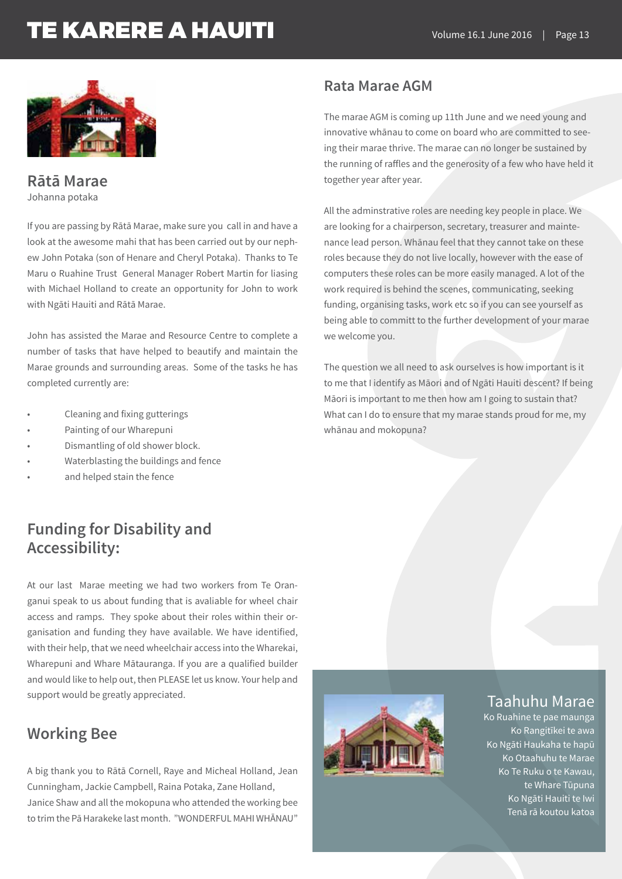

**Rātā Marae** Johanna potaka

If you are passing by Rātā Marae, make sure you call in and have a look at the awesome mahi that has been carried out by our nephew John Potaka (son of Henare and Cheryl Potaka). Thanks to Te Maru o Ruahine Trust General Manager Robert Martin for liasing with Michael Holland to create an opportunity for John to work with Ngāti Hauiti and Rātā Marae.

John has assisted the Marae and Resource Centre to complete a number of tasks that have helped to beautify and maintain the Marae grounds and surrounding areas. Some of the tasks he has completed currently are:

- Cleaning and fixing gutterings
- Painting of our Wharepuni
- Dismantling of old shower block.
- Waterblasting the buildings and fence
- and helped stain the fence

## **Funding for Disability and Accessibility:**

At our last Marae meeting we had two workers from Te Oranganui speak to us about funding that is avaliable for wheel chair access and ramps. They spoke about their roles within their organisation and funding they have available. We have identified, with their help, that we need wheelchair access into the Wharekai, Wharepuni and Whare Mātauranga. If you are a qualified builder and would like to help out, then PLEASE let us know. Your help and support would be greatly appreciated.

## **Working Bee**

A big thank you to Rātā Cornell, Raye and Micheal Holland, Jean Cunningham, Jackie Campbell, Raina Potaka, Zane Holland, Janice Shaw and all the mokopuna who attended the working bee to trim the Pā Harakeke last month. "WONDERFUL MAHI WHĀNAU"

### **Rata Marae AGM**

The marae AGM is coming up 11th June and we need young and innovative whānau to come on board who are committed to seeing their marae thrive. The marae can no longer be sustained by the running of raffles and the generosity of a few who have held it together year after year.

All the adminstrative roles are needing key people in place. We are looking for a chairperson, secretary, treasurer and maintenance lead person. Whānau feel that they cannot take on these roles because they do not live locally, however with the ease of computers these roles can be more easily managed. A lot of the work required is behind the scenes, communicating, seeking funding, organising tasks, work etc so if you can see yourself as being able to committ to the further development of your marae we welcome you.

The question we all need to ask ourselves is how important is it to me that I identify as Māori and of Ngāti Hauiti descent? If being Māori is important to me then how am I going to sustain that? What can I do to ensure that my marae stands proud for me, my whānau and mokopuna?



### Taahuhu Marae

Ko Ruahine te pae maunga Ko Rangitīkei te awa Ko Ngāti Haukaha te hapū Ko Otaahuhu te Marae Ko Te Ruku o te Kawau, te Whare Tūpuna Ko Ngāti Hauiti te Iwi Tenā rā koutou katoa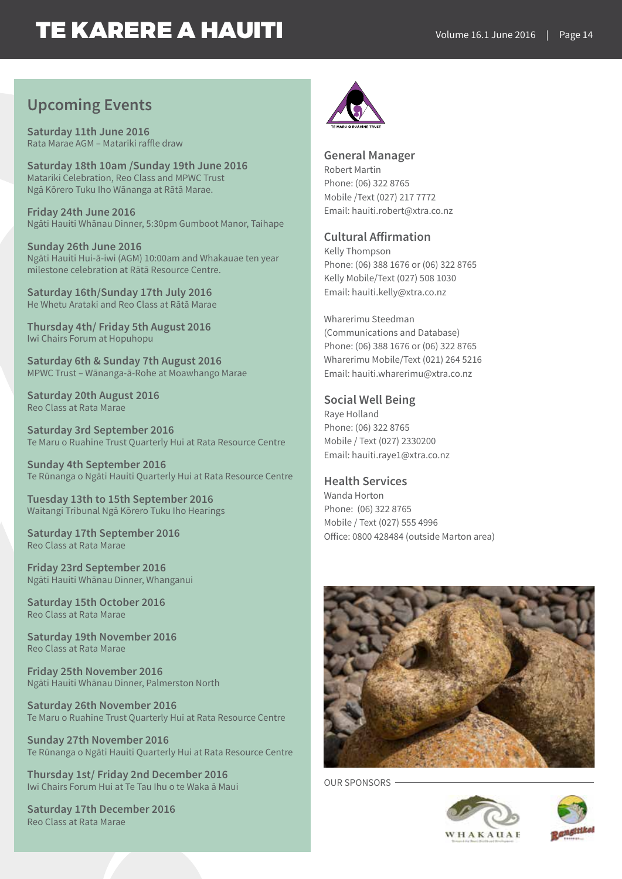## **Upcoming Events**

**Saturday 11th June 2016**  Rata Marae AGM – Matariki raffle draw

**Saturday 18th 10am /Sunday 19th June 2016** Matariki Celebration, Reo Class and MPWC Trust Ngā Kōrero Tuku Iho Wānanga at Rātā Marae.

**Friday 24th June 2016**  Ngāti Hauiti Whānau Dinner, 5:30pm Gumboot Manor, Taihape

**Sunday 26th June 2016**  Ngāti Hauiti Hui-ā-iwi (AGM) 10:00am and Whakauae ten year milestone celebration at Rātā Resource Centre.

**Saturday 16th/Sunday 17th July 2016** He Whetu Arataki and Reo Class at Rātā Marae

**Thursday 4th/ Friday 5th August 2016** Iwi Chairs Forum at Hopuhopu

**Saturday 6th & Sunday 7th August 2016** MPWC Trust – Wānanga-ā-Rohe at Moawhango Marae

**Saturday 20th August 2016** Reo Class at Rata Marae

**Saturday 3rd September 2016** Te Maru o Ruahine Trust Quarterly Hui at Rata Resource Centre

**Sunday 4th September 2016** Te Rūnanga o Ngāti Hauiti Quarterly Hui at Rata Resource Centre

**Tuesday 13th to 15th September 2016** Waitangi Tribunal Ngā Kōrero Tuku Iho Hearings

**Saturday 17th September 2016** Reo Class at Rata Marae

**Friday 23rd September 2016** Ngāti Hauiti Whānau Dinner, Whanganui

**Saturday 15th October 2016** Reo Class at Rata Marae

**Saturday 19th November 2016**  Reo Class at Rata Marae

**Friday 25th November 2016** Ngāti Hauiti Whānau Dinner, Palmerston North

**Saturday 26th November 2016** Te Maru o Ruahine Trust Quarterly Hui at Rata Resource Centre

**Sunday 27th November 2016** Te Rūnanga o Ngāti Hauiti Quarterly Hui at Rata Resource Centre

**Thursday 1st/ Friday 2nd December 2016** Iwi Chairs Forum Hui at Te Tau Ihu o te Waka ā Maui

**Saturday 17th December 2016** Reo Class at Rata Marae



**General Manager**  Robert Martin Phone: (06) 322 8765 Mobile /Text (027) 217 7772 Email: hauiti.robert@xtra.co.nz

### **Cultural Affirmation**

Kelly Thompson Phone: (06) 388 1676 or (06) 322 8765 Kelly Mobile/Text (027) 508 1030 Email: hauiti.kelly@xtra.co.nz

Wharerimu Steedman (Communications and Database) Phone: (06) 388 1676 or (06) 322 8765 Wharerimu Mobile/Text (021) 264 5216 Email: hauiti.wharerimu@xtra.co.nz

### **Social Well Being**

Raye Holland Phone: (06) 322 8765 Mobile / Text (027) 2330200 Email: hauiti.raye1@xtra.co.nz

### **Health Services**

Wanda Horton Phone: (06) 322 8765 Mobile / Text (027) 555 4996 Office: 0800 428484 (outside Marton area)



OUR SPONSORS